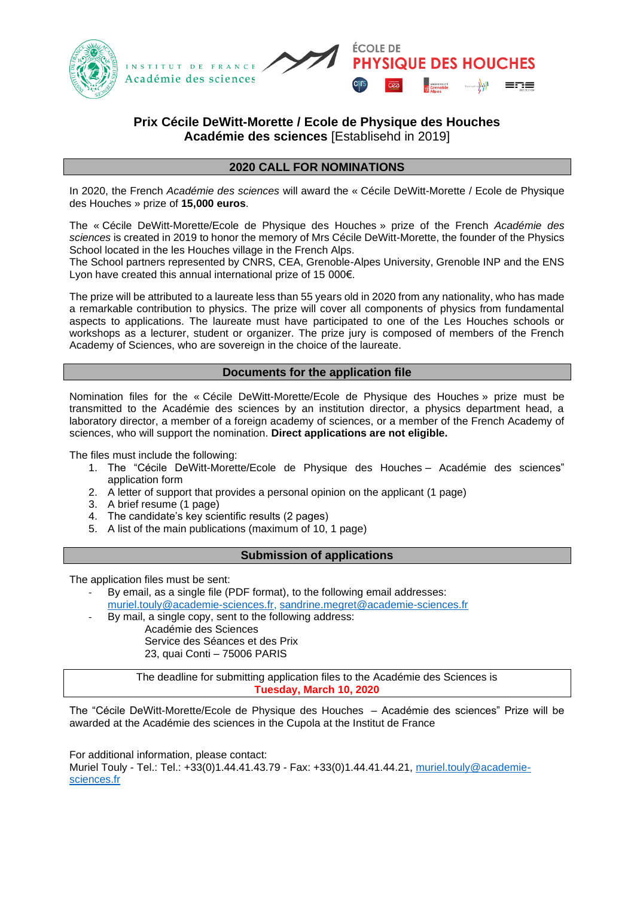



# **Prix Cécile DeWitt-Morette / Ecole de Physique des Houches Académie des sciences** [Establisehd in 2019]

## **2020 CALL FOR NOMINATIONS**

In 2020, the French *Académie des sciences* will award the « Cécile DeWitt-Morette / Ecole de Physique des Houches » prize of **15,000 euros**.

The « Cécile DeWitt-Morette/Ecole de Physique des Houches » prize of the French *Académie des sciences* is created in 2019 to honor the memory of Mrs Cécile DeWitt-Morette, the founder of the Physics School located in the les Houches village in the French Alps.

The School partners represented by CNRS, CEA, Grenoble-Alpes University, Grenoble INP and the ENS Lyon have created this annual international prize of 15 000€.

The prize will be attributed to a laureate less than 55 years old in 2020 from any nationality, who has made a remarkable contribution to physics. The prize will cover all components of physics from fundamental aspects to applications. The laureate must have participated to one of the Les Houches schools or workshops as a lecturer, student or organizer. The prize jury is composed of members of the French Academy of Sciences, who are sovereign in the choice of the laureate.

#### **Documents for the application file**

Nomination files for the « Cécile DeWitt-Morette/Ecole de Physique des Houches » prize must be transmitted to the Académie des sciences by an institution director, a physics department head, a laboratory director, a member of a foreign academy of sciences, or a member of the French Academy of sciences, who will support the nomination. **Direct applications are not eligible.**

The files must include the following:

- 1. The "Cécile DeWitt-Morette/Ecole de Physique des Houches Académie des sciences" application form
- 2. A letter of support that provides a personal opinion on the applicant (1 page)
- 3. A brief resume (1 page)
- 4. The candidate's key scientific results (2 pages)
- 5. A list of the main publications (maximum of 10, 1 page)

#### **Submission of applications**

The application files must be sent:

- By email, as a single file (PDF format), to the following email addresses:
	- [muriel.touly@academie-sciences.fr,](mailto:muriel.touly@academie-sciences.fr) [sandrine.megret@academie-sciences.fr](mailto:sandrine.megret@academie-sciences.fr)
	- By mail, a single copy, sent to the following address: Académie des Sciences Service des Séances et des Prix
		- 23, quai Conti 75006 PARIS

The deadline for submitting application files to the Académie des Sciences is **Tuesday, March 10, 2020**

The "Cécile DeWitt-Morette/Ecole de Physique des Houches – Académie des sciences" Prize will be awarded at the Académie des sciences in the Cupola at the Institut de France

For additional information, please contact:

Muriel Touly - Tel.: Tel.: +33(0)1.44.41.43.79 - Fax: +33(0)1.44.41.44.21, [muriel.touly@academie](mailto:muriel.touly@academie-sciences.fr)[sciences.fr](mailto:muriel.touly@academie-sciences.fr)